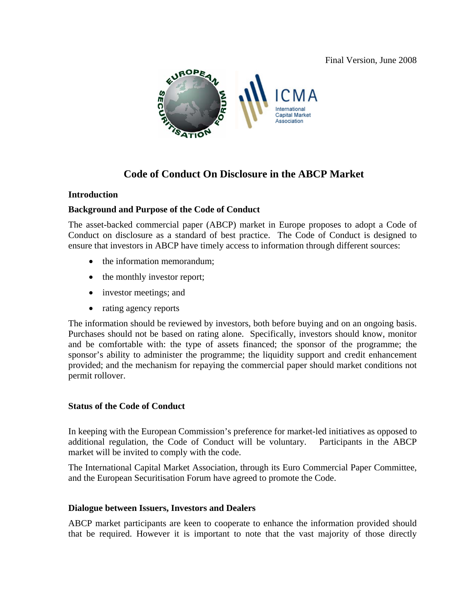Final Version, June 2008



# **Code of Conduct On Disclosure in the ABCP Market**

#### **Introduction**

#### **Background and Purpose of the Code of Conduct**

The asset-backed commercial paper (ABCP) market in Europe proposes to adopt a Code of Conduct on disclosure as a standard of best practice. The Code of Conduct is designed to ensure that investors in ABCP have timely access to information through different sources:

- the information memorandum;
- the monthly investor report;
- investor meetings; and
- rating agency reports

The information should be reviewed by investors, both before buying and on an ongoing basis. Purchases should not be based on rating alone. Specifically, investors should know, monitor and be comfortable with: the type of assets financed; the sponsor of the programme; the sponsor's ability to administer the programme; the liquidity support and credit enhancement provided; and the mechanism for repaying the commercial paper should market conditions not permit rollover.

### **Status of the Code of Conduct**

In keeping with the European Commission's preference for market-led initiatives as opposed to additional regulation, the Code of Conduct will be voluntary. Participants in the ABCP market will be invited to comply with the code.

The International Capital Market Association, through its Euro Commercial Paper Committee, and the European Securitisation Forum have agreed to promote the Code.

#### **Dialogue between Issuers, Investors and Dealers**

ABCP market participants are keen to cooperate to enhance the information provided should that be required. However it is important to note that the vast majority of those directly